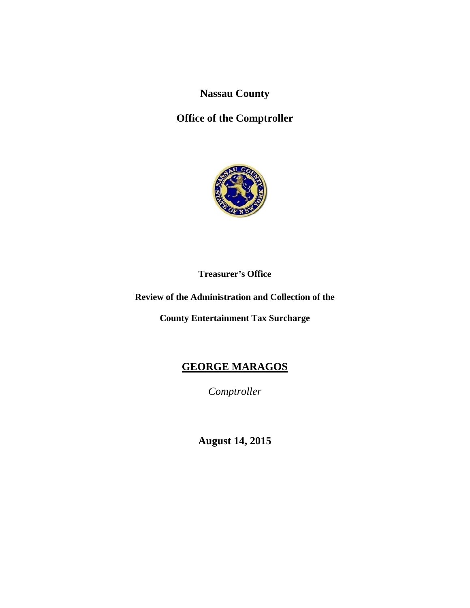**Nassau County** 

# **Office of the Comptroller**



**Treasurer's Office** 

## **Review of the Administration and Collection of the**

**County Entertainment Tax Surcharge** 

# **GEORGE MARAGOS**

*Comptroller* 

**August 14, 2015**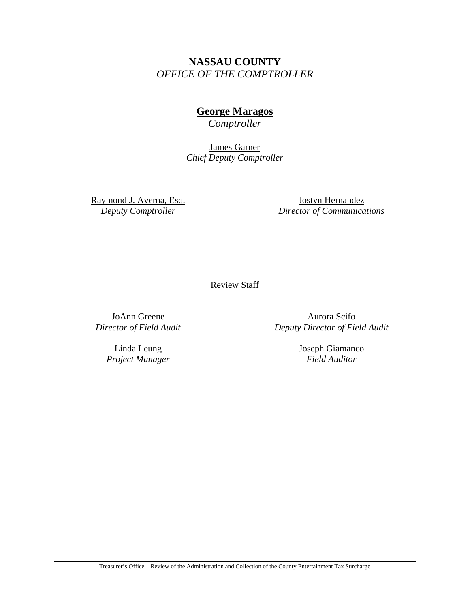# **NASSAU COUNTY**  *OFFICE OF THE COMPTROLLER*

## **George Maragos**

*Comptroller* 

James Garner *Chief Deputy Comptroller* 

Raymond J. Averna, Esq. *Deputy Comptroller* 

Jostyn Hernandez *Director of Communications* 

Review Staff

JoAnn Greene *Director of Field Audit* 

> Linda Leung *Project Manager*

Aurora Scifo *Deputy Director of Field Audit* 

> Joseph Giamanco *Field Auditor*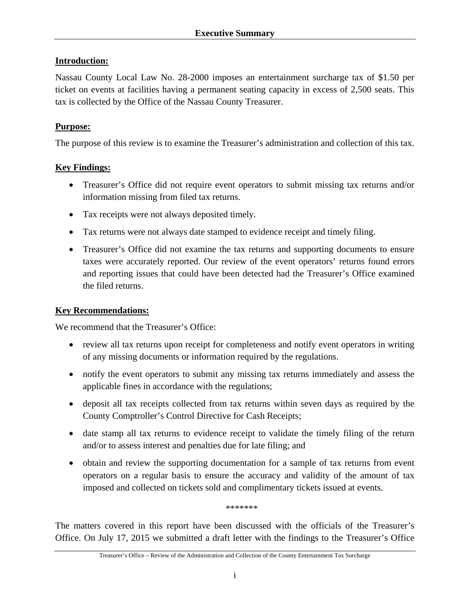## **Introduction:**

Nassau County Local Law No. 28-2000 imposes an entertainment surcharge tax of \$1.50 per ticket on events at facilities having a permanent seating capacity in excess of 2,500 seats. This tax is collected by the Office of the Nassau County Treasurer.

## **Purpose:**

The purpose of this review is to examine the Treasurer's administration and collection of this tax.

## **Key Findings:**

- Treasurer's Office did not require event operators to submit missing tax returns and/or information missing from filed tax returns.
- Tax receipts were not always deposited timely.
- Tax returns were not always date stamped to evidence receipt and timely filing.
- Treasurer's Office did not examine the tax returns and supporting documents to ensure taxes were accurately reported. Our review of the event operators' returns found errors and reporting issues that could have been detected had the Treasurer's Office examined the filed returns.

## **Key Recommendations:**

We recommend that the Treasurer's Office:

- review all tax returns upon receipt for completeness and notify event operators in writing of any missing documents or information required by the regulations.
- notify the event operators to submit any missing tax returns immediately and assess the applicable fines in accordance with the regulations;
- deposit all tax receipts collected from tax returns within seven days as required by the County Comptroller's Control Directive for Cash Receipts;
- date stamp all tax returns to evidence receipt to validate the timely filing of the return and/or to assess interest and penalties due for late filing; and
- obtain and review the supporting documentation for a sample of tax returns from event operators on a regular basis to ensure the accuracy and validity of the amount of tax imposed and collected on tickets sold and complimentary tickets issued at events.

\*\*\*\*\*\*\*

The matters covered in this report have been discussed with the officials of the Treasurer's Office. On July 17, 2015 we submitted a draft letter with the findings to the Treasurer's Office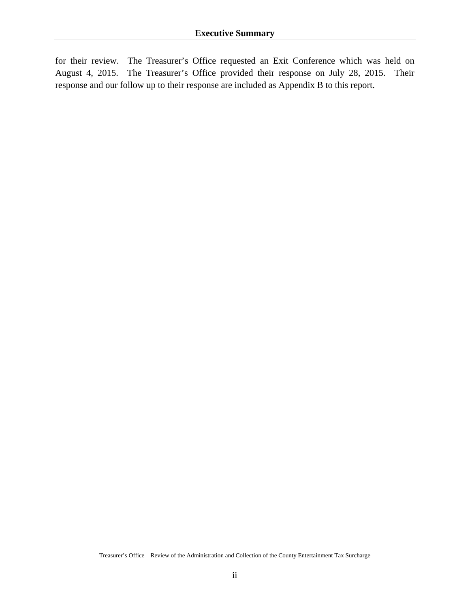for their review. The Treasurer's Office requested an Exit Conference which was held on August 4, 2015. The Treasurer's Office provided their response on July 28, 2015. Their response and our follow up to their response are included as Appendix B to this report.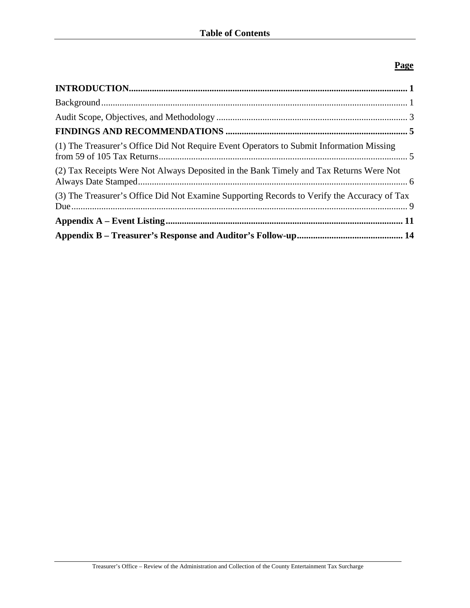## **Page**

| (1) The Treasurer's Office Did Not Require Event Operators to Submit Information Missing    |  |
|---------------------------------------------------------------------------------------------|--|
| (2) Tax Receipts Were Not Always Deposited in the Bank Timely and Tax Returns Were Not      |  |
| (3) The Treasurer's Office Did Not Examine Supporting Records to Verify the Accuracy of Tax |  |
|                                                                                             |  |
|                                                                                             |  |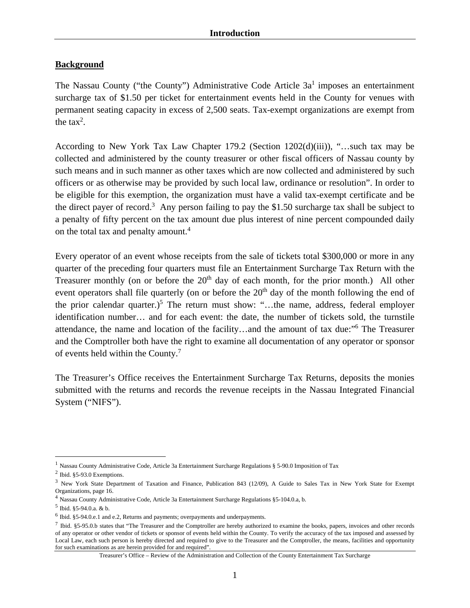## **Background**

The Nassau County ("the County") Administrative Code Article  $3a<sup>1</sup>$  imposes an entertainment surcharge tax of \$1.50 per ticket for entertainment events held in the County for venues with permanent seating capacity in excess of 2,500 seats. Tax-exempt organizations are exempt from the tax<sup>2</sup>.

According to New York Tax Law Chapter 179.2 (Section 1202(d)(iii)), "…such tax may be collected and administered by the county treasurer or other fiscal officers of Nassau county by such means and in such manner as other taxes which are now collected and administered by such officers or as otherwise may be provided by such local law, ordinance or resolution". In order to be eligible for this exemption, the organization must have a valid tax-exempt certificate and be the direct payer of record.<sup>3</sup> Any person failing to pay the \$1.50 surcharge tax shall be subject to a penalty of fifty percent on the tax amount due plus interest of nine percent compounded daily on the total tax and penalty amount.<sup>4</sup>

Every operator of an event whose receipts from the sale of tickets total \$300,000 or more in any quarter of the preceding four quarters must file an Entertainment Surcharge Tax Return with the Treasurer monthly (on or before the  $20<sup>th</sup>$  day of each month, for the prior month.) All other event operators shall file quarterly (on or before the  $20<sup>th</sup>$  day of the month following the end of the prior calendar quarter.)<sup>5</sup> The return must show: "...the name, address, federal employer identification number… and for each event: the date, the number of tickets sold, the turnstile attendance, the name and location of the facility...and the amount of tax due:"<sup>6</sup> The Treasurer and the Comptroller both have the right to examine all documentation of any operator or sponsor of events held within the County.<sup>7</sup>

The Treasurer's Office receives the Entertainment Surcharge Tax Returns, deposits the monies submitted with the returns and records the revenue receipts in the Nassau Integrated Financial System ("NIFS").

<u>.</u>

<sup>&</sup>lt;sup>1</sup> Nassau County Administrative Code, Article 3a Entertainment Surcharge Regulations § 5-90.0 Imposition of Tax

<sup>2</sup> Ibid. §5-93.0 Exemptions.

<sup>3</sup> New York State Department of Taxation and Finance, Publication 843 (12/09), A Guide to Sales Tax in New York State for Exempt Organizations, page 16.

<sup>4</sup> Nassau County Administrative Code, Article 3a Entertainment Surcharge Regulations §5-104.0.a, b.

<sup>5</sup> Ibid. §5-94.0.a. & b.

 $<sup>6</sup>$  Ibid. §5-94.0.e.1 and e.2, Returns and payments; overpayments and underpayments.</sup>

<sup>&</sup>lt;sup>7</sup> Ibid. §5-95.0.b states that "The Treasurer and the Comptroller are hereby authorized to examine the books, papers, invoices and other records of any operator or other vendor of tickets or sponsor of events held within the County. To verify the accuracy of the tax imposed and assessed by Local Law, each such person is hereby directed and required to give to the Treasurer and the Comptroller, the means, facilities and opportunity for such examinations as are herein provided for and required".

Treasurer's Office – Review of the Administration and Collection of the County Entertainment Tax Surcharge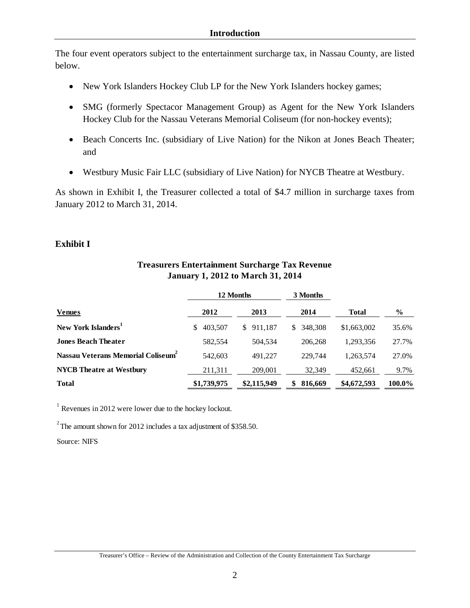The four event operators subject to the entertainment surcharge tax, in Nassau County, are listed below.

- New York Islanders Hockey Club LP for the New York Islanders hockey games;
- SMG (formerly Spectacor Management Group) as Agent for the New York Islanders Hockey Club for the Nassau Veterans Memorial Coliseum (for non-hockey events);
- Beach Concerts Inc. (subsidiary of Live Nation) for the Nikon at Jones Beach Theater; and
- Westbury Music Fair LLC (subsidiary of Live Nation) for NYCB Theatre at Westbury.

As shown in Exhibit I, the Treasurer collected a total of \$4.7 million in surcharge taxes from January 2012 to March 31, 2014.

## **Exhibit I**

|                                                |               | 12 Months     | 3 Months      |              |        |
|------------------------------------------------|---------------|---------------|---------------|--------------|--------|
| <b>Venues</b>                                  | 2012          | 2013          | 2014          | <b>Total</b> | $\%$   |
| New York Islanders <sup>1</sup>                | 403,507<br>S. | 911,187<br>S. | 348,308<br>S. | \$1,663,002  | 35.6%  |
| <b>Jones Beach Theater</b>                     | 582,554       | 504.534       | 206.268       | 1,293,356    | 27.7%  |
| Nassau Veterans Memorial Coliseum <sup>2</sup> | 542,603       | 491.227       | 229,744       | 1,263,574    | 27.0%  |
| <b>NYCB</b> Theatre at Westbury                | 211,311       | 209,001       | 32,349        | 452,661      | 9.7%   |
| <b>Total</b>                                   | \$1,739,975   | \$2,115,949   | 816,669<br>\$ | \$4,672,593  | 100.0% |

## **Treasurers Entertainment Surcharge Tax Revenue January 1, 2012 to March 31, 2014**

 $1$  Revenues in 2012 were lower due to the hockey lockout.

 $2$ <sup>2</sup> The amount shown for 2012 includes a tax adjustment of \$358.50.

Source: NIFS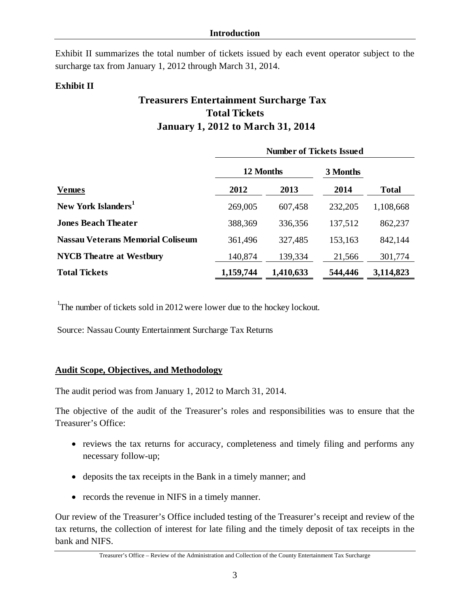Exhibit II summarizes the total number of tickets issued by each event operator subject to the surcharge tax from January 1, 2012 through March 31, 2014.

## **Exhibit II**

# **Treasurers Entertainment Surcharge Tax January 1, 2012 to March 31, 2014 Total Tickets**

|                                          | <b>Number of Tickets Issued</b> |           |          |              |
|------------------------------------------|---------------------------------|-----------|----------|--------------|
|                                          | 12 Months                       |           | 3 Months |              |
| <b>Venues</b>                            | 2012                            | 2013      | 2014     | <b>Total</b> |
| New York Islanders <sup>1</sup>          | 269,005                         | 607,458   | 232,205  | 1,108,668    |
| <b>Jones Beach Theater</b>               | 388,369                         | 336,356   | 137,512  | 862,237      |
| <b>Nassau Veterans Memorial Coliseum</b> | 361,496                         | 327,485   | 153,163  | 842,144      |
| <b>NYCB</b> Theatre at Westbury          | 140,874                         | 139,334   | 21,566   | 301,774      |
| <b>Total Tickets</b>                     | 1,159,744                       | 1,410,633 | 544,446  | 3,114,823    |

<sup>1</sup>The number of tickets sold in 2012 were lower due to the hockey lockout.

Source: Nassau County Entertainment Surcharge Tax Returns

## **Audit Scope, Objectives, and Methodology**

The audit period was from January 1, 2012 to March 31, 2014.

The objective of the audit of the Treasurer's roles and responsibilities was to ensure that the Treasurer's Office:

- reviews the tax returns for accuracy, completeness and timely filing and performs any necessary follow-up;
- deposits the tax receipts in the Bank in a timely manner; and
- records the revenue in NIFS in a timely manner.

Our review of the Treasurer's Office included testing of the Treasurer's receipt and review of the tax returns, the collection of interest for late filing and the timely deposit of tax receipts in the bank and NIFS.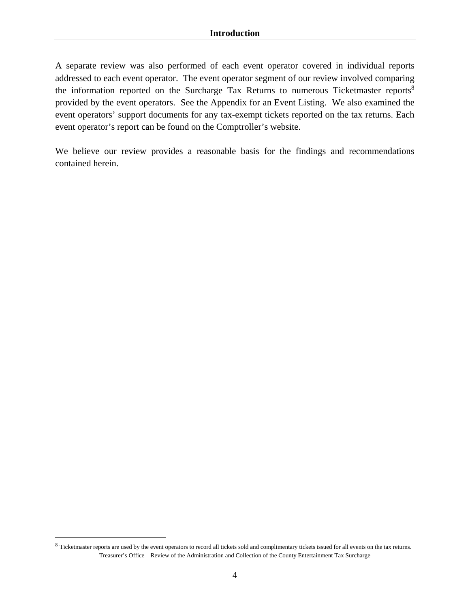A separate review was also performed of each event operator covered in individual reports addressed to each event operator. The event operator segment of our review involved comparing the information reported on the Surcharge Tax Returns to numerous Ticketmaster reports<sup>8</sup> provided by the event operators. See the Appendix for an Event Listing. We also examined the event operators' support documents for any tax-exempt tickets reported on the tax returns. Each event operator's report can be found on the Comptroller's website.

We believe our review provides a reasonable basis for the findings and recommendations contained herein.

<u>.</u>

Treasurer's Office – Review of the Administration and Collection of the County Entertainment Tax Surcharge <sup>8</sup> Ticketmaster reports are used by the event operators to record all tickets sold and complimentary tickets issued for all events on the tax returns.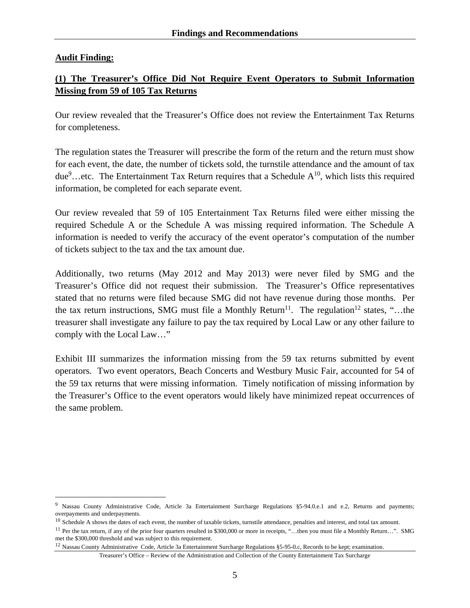## **Audit Finding:**

1

## **(1) The Treasurer's Office Did Not Require Event Operators to Submit Information Missing from 59 of 105 Tax Returns**

Our review revealed that the Treasurer's Office does not review the Entertainment Tax Returns for completeness.

The regulation states the Treasurer will prescribe the form of the return and the return must show for each event, the date, the number of tickets sold, the turnstile attendance and the amount of tax due<sup>9</sup>...etc. The Entertainment Tax Return requires that a Schedule  $A^{10}$ , which lists this required information, be completed for each separate event.

Our review revealed that 59 of 105 Entertainment Tax Returns filed were either missing the required Schedule A or the Schedule A was missing required information. The Schedule A information is needed to verify the accuracy of the event operator's computation of the number of tickets subject to the tax and the tax amount due.

Additionally, two returns (May 2012 and May 2013) were never filed by SMG and the Treasurer's Office did not request their submission. The Treasurer's Office representatives stated that no returns were filed because SMG did not have revenue during those months. Per the tax return instructions, SMG must file a Monthly Return<sup>11</sup>. The regulation<sup>12</sup> states, "...the treasurer shall investigate any failure to pay the tax required by Local Law or any other failure to comply with the Local Law…"

Exhibit III summarizes the information missing from the 59 tax returns submitted by event operators. Two event operators, Beach Concerts and Westbury Music Fair, accounted for 54 of the 59 tax returns that were missing information. Timely notification of missing information by the Treasurer's Office to the event operators would likely have minimized repeat occurrences of the same problem.

<sup>12</sup> Nassau County Administrative Code, Article 3a Entertainment Surcharge Regulations §5-95-0.c, Records to be kept; examination.

Treasurer's Office – Review of the Administration and Collection of the County Entertainment Tax Surcharge

<sup>&</sup>lt;sup>9</sup> Nassau County Administrative Code, Article 3a Entertainment Surcharge Regulations §5-94.0.e.1 and e.2, Returns and payments; overpayments and underpayments.

<sup>&</sup>lt;sup>10</sup> Schedule A shows the dates of each event, the number of taxable tickets, turnstile attendance, penalties and interest, and total tax amount.

<sup>&</sup>lt;sup>11</sup> Per the tax return, if any of the prior four quarters resulted in \$300,000 or more in receipts, "...then you must file a Monthly Return...". SMG met the \$300,000 threshold and was subject to this requirement.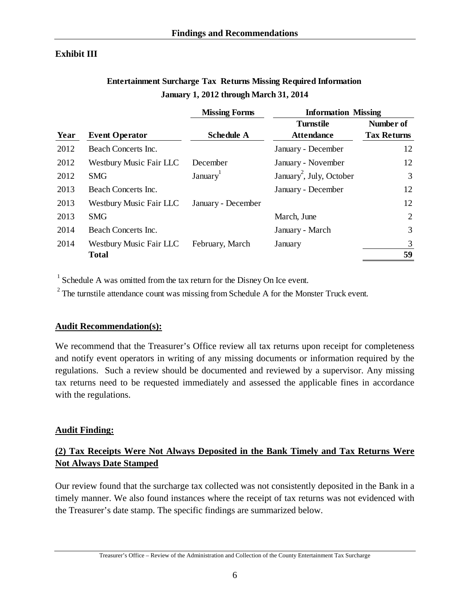## **Exhibit III**

## **Entertainment Surcharge Tax Returns Missing Required Information January 1, 2012 through March 31, 2014**

|      |                         | <b>Missing Forms</b> | <b>Information Missing</b>           |                    |
|------|-------------------------|----------------------|--------------------------------------|--------------------|
|      |                         |                      | <b>Turnstile</b>                     | Number of          |
| Year | <b>Event Operator</b>   | <b>Schedule A</b>    | <b>Attendance</b>                    | <b>Tax Returns</b> |
| 2012 | Beach Concerts Inc.     |                      | January - December                   | 12                 |
| 2012 | Westbury Music Fair LLC | December             | January - November                   | 12                 |
| 2012 | <b>SMG</b>              | January <sup>1</sup> | January <sup>2</sup> , July, October | 3                  |
| 2013 | Beach Concerts Inc.     |                      | January - December                   | 12                 |
| 2013 | Westbury Music Fair LLC | January - December   |                                      | 12                 |
| 2013 | <b>SMG</b>              |                      | March, June                          | 2                  |
| 2014 | Beach Concerts Inc.     |                      | January - March                      | 3                  |
| 2014 | Westbury Music Fair LLC | February, March      | January                              | 3                  |
|      | <b>Total</b>            |                      |                                      | 59                 |

 $<sup>1</sup>$  Schedule A was omitted from the tax return for the Disney On Ice event.</sup>

 $2^{2}$  The turnstile attendance count was missing from Schedule A for the Monster Truck event.

## **Audit Recommendation(s):**

We recommend that the Treasurer's Office review all tax returns upon receipt for completeness and notify event operators in writing of any missing documents or information required by the regulations. Such a review should be documented and reviewed by a supervisor. Any missing tax returns need to be requested immediately and assessed the applicable fines in accordance with the regulations.

## **Audit Finding:**

## **(2) Tax Receipts Were Not Always Deposited in the Bank Timely and Tax Returns Were Not Always Date Stamped**

Our review found that the surcharge tax collected was not consistently deposited in the Bank in a timely manner. We also found instances where the receipt of tax returns was not evidenced with the Treasurer's date stamp. The specific findings are summarized below.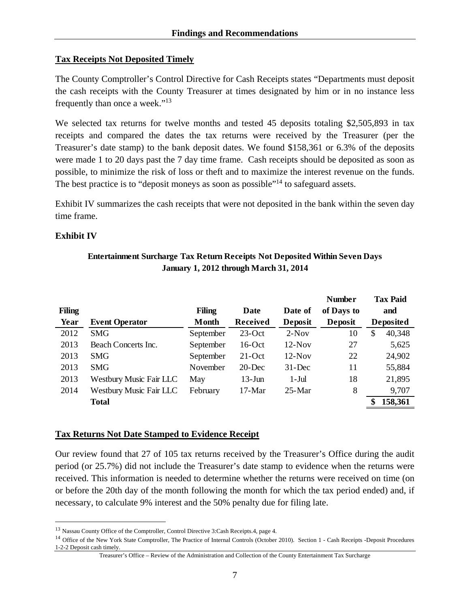## **Tax Receipts Not Deposited Timely**

The County Comptroller's Control Directive for Cash Receipts states "Departments must deposit the cash receipts with the County Treasurer at times designated by him or in no instance less frequently than once a week."13

We selected tax returns for twelve months and tested 45 deposits totaling \$2,505,893 in tax receipts and compared the dates the tax returns were received by the Treasurer (per the Treasurer's date stamp) to the bank deposit dates. We found \$158,361 or 6.3% of the deposits were made 1 to 20 days past the 7 day time frame. Cash receipts should be deposited as soon as possible, to minimize the risk of loss or theft and to maximize the interest revenue on the funds. The best practice is to "deposit moneys as soon as possible"<sup>14</sup> to safeguard assets.

Exhibit IV summarizes the cash receipts that were not deposited in the bank within the seven day time frame.

## **Exhibit IV**

1

## **Entertainment Surcharge Tax Return Receipts Not Deposited Within Seven Days January 1, 2012 through March 31, 2014**

|               |                                |               |                 |            | <b>Number</b> | <b>Tax Paid</b>  |
|---------------|--------------------------------|---------------|-----------------|------------|---------------|------------------|
| <b>Filing</b> |                                | <b>Filing</b> | Date            | Date of    | of Days to    | and              |
| Year          | <b>Event Operator</b>          | Month         | <b>Received</b> | Deposit    | Deposit       | <b>Deposited</b> |
| 2012          | <b>SMG</b>                     | September     | $23$ -Oct       | $2-Nov$    | 10            | \$<br>40,348     |
| 2013          | Beach Concerts Inc.            | September     | $16$ -Oct       | $12-Nov$   | 27            | 5,625            |
| 2013          | <b>SMG</b>                     | September     | $21$ -Oct       | $12-Nov$   | 22            | 24,902           |
| 2013          | <b>SMG</b>                     | November      | $20$ -Dec       | $31 - Dec$ | 11            | 55,884           |
| 2013          | Westbury Music Fair LLC        | May           | $13$ -Jun       | $1-Jul$    | 18            | 21,895           |
| 2014          | <b>Westbury Music Fair LLC</b> | February      | $17-Mar$        | $25-Mar$   | 8             | 9,707            |
|               | <b>Total</b>                   |               |                 |            |               | 158,361          |

## **Tax Returns Not Date Stamped to Evidence Receipt**

Our review found that 27 of 105 tax returns received by the Treasurer's Office during the audit period (or 25.7%) did not include the Treasurer's date stamp to evidence when the returns were received. This information is needed to determine whether the returns were received on time (on or before the 20th day of the month following the month for which the tax period ended) and, if necessary, to calculate 9% interest and the 50% penalty due for filing late.

<sup>13</sup> Nassau County Office of the Comptroller, Control Directive 3:Cash Receipts.4, page 4.

<sup>&</sup>lt;sup>14</sup> Office of the New York State Comptroller, The Practice of Internal Controls (October 2010). Section 1 - Cash Receipts -Deposit Procedures 1-2-2 Deposit cash timely.

Treasurer's Office – Review of the Administration and Collection of the County Entertainment Tax Surcharge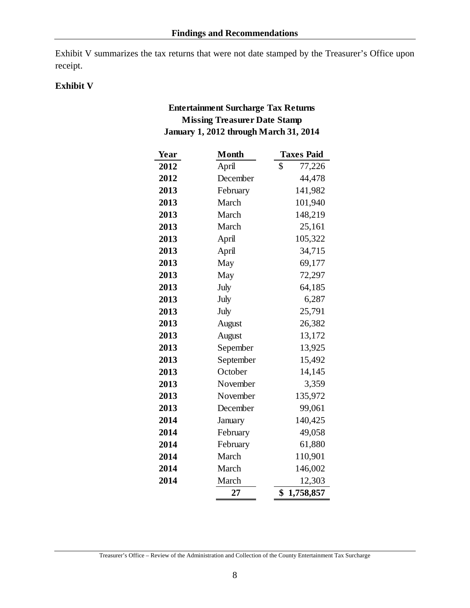Exhibit V summarizes the tax returns that were not date stamped by the Treasurer's Office upon receipt.

## **Exhibit V**

## **Entertainment Surcharge Tax Returns Missing Treasurer Date Stamp January 1, 2012 through March 31, 2014**

| Year | <b>Month</b> | <b>Taxes Paid</b> |
|------|--------------|-------------------|
| 2012 | April        | \$<br>77,226      |
| 2012 | December     | 44,478            |
| 2013 | February     | 141,982           |
| 2013 | March        | 101,940           |
| 2013 | March        | 148,219           |
| 2013 | March        | 25,161            |
| 2013 | April        | 105,322           |
| 2013 | April        | 34,715            |
| 2013 | May          | 69,177            |
| 2013 | May          | 72,297            |
| 2013 | July         | 64,185            |
| 2013 | July         | 6,287             |
| 2013 | July         | 25,791            |
| 2013 | August       | 26,382            |
| 2013 | August       | 13,172            |
| 2013 | Sepember     | 13,925            |
| 2013 | September    | 15,492            |
| 2013 | October      | 14,145            |
| 2013 | November     | 3,359             |
| 2013 | November     | 135,972           |
| 2013 | December     | 99,061            |
| 2014 | January      | 140,425           |
| 2014 | February     | 49,058            |
| 2014 | February     | 61,880            |
| 2014 | March        | 110,901           |
| 2014 | March        | 146,002           |
| 2014 | March        | 12,303            |
|      | 27           | \$<br>1,758,857   |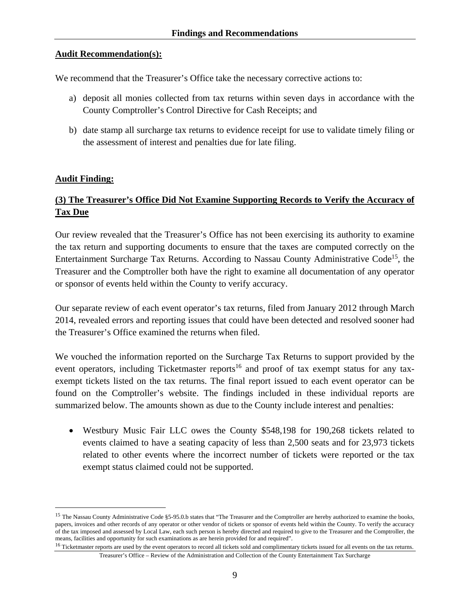## **Audit Recommendation(s):**

We recommend that the Treasurer's Office take the necessary corrective actions to:

- a) deposit all monies collected from tax returns within seven days in accordance with the County Comptroller's Control Directive for Cash Receipts; and
- b) date stamp all surcharge tax returns to evidence receipt for use to validate timely filing or the assessment of interest and penalties due for late filing.

## **Audit Finding:**

1

## **(3) The Treasurer's Office Did Not Examine Supporting Records to Verify the Accuracy of Tax Due**

Our review revealed that the Treasurer's Office has not been exercising its authority to examine the tax return and supporting documents to ensure that the taxes are computed correctly on the Entertainment Surcharge Tax Returns. According to Nassau County Administrative Code15, the Treasurer and the Comptroller both have the right to examine all documentation of any operator or sponsor of events held within the County to verify accuracy.

Our separate review of each event operator's tax returns, filed from January 2012 through March 2014, revealed errors and reporting issues that could have been detected and resolved sooner had the Treasurer's Office examined the returns when filed.

We vouched the information reported on the Surcharge Tax Returns to support provided by the event operators, including Ticketmaster reports<sup>16</sup> and proof of tax exempt status for any taxexempt tickets listed on the tax returns. The final report issued to each event operator can be found on the Comptroller's website. The findings included in these individual reports are summarized below. The amounts shown as due to the County include interest and penalties:

 Westbury Music Fair LLC owes the County \$548,198 for 190,268 tickets related to events claimed to have a seating capacity of less than 2,500 seats and for 23,973 tickets related to other events where the incorrect number of tickets were reported or the tax exempt status claimed could not be supported.

<sup>&</sup>lt;sup>15</sup> The Nassau County Administrative Code §5-95.0.b states that "The Treasurer and the Comptroller are hereby authorized to examine the books, papers, invoices and other records of any operator or other vendor of tickets or sponsor of events held within the County. To verify the accuracy of the tax imposed and assessed by Local Law, each such person is hereby directed and required to give to the Treasurer and the Comptroller, the means, facilities and opportunity for such examinations as are herein provided for and required".<br><sup>16</sup> Ticketmaster reports are used by the event operators to record all tickets sold and complimentary tickets issued for al

Treasurer's Office – Review of the Administration and Collection of the County Entertainment Tax Surcharge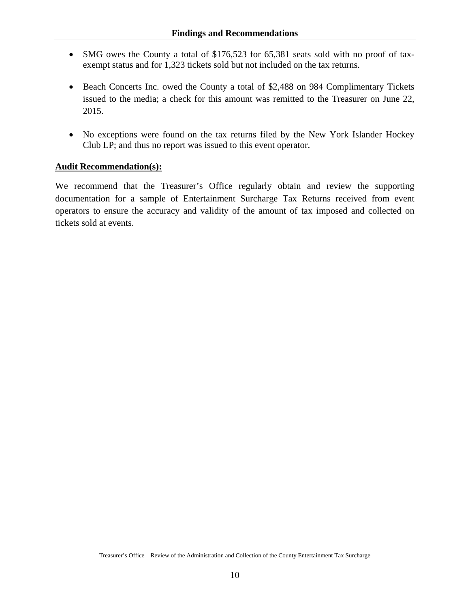- SMG owes the County a total of \$176,523 for 65,381 seats sold with no proof of taxexempt status and for 1,323 tickets sold but not included on the tax returns.
- Beach Concerts Inc. owed the County a total of \$2,488 on 984 Complimentary Tickets issued to the media; a check for this amount was remitted to the Treasurer on June 22, 2015.
- No exceptions were found on the tax returns filed by the New York Islander Hockey Club LP; and thus no report was issued to this event operator.

## **Audit Recommendation(s):**

We recommend that the Treasurer's Office regularly obtain and review the supporting documentation for a sample of Entertainment Surcharge Tax Returns received from event operators to ensure the accuracy and validity of the amount of tax imposed and collected on tickets sold at events.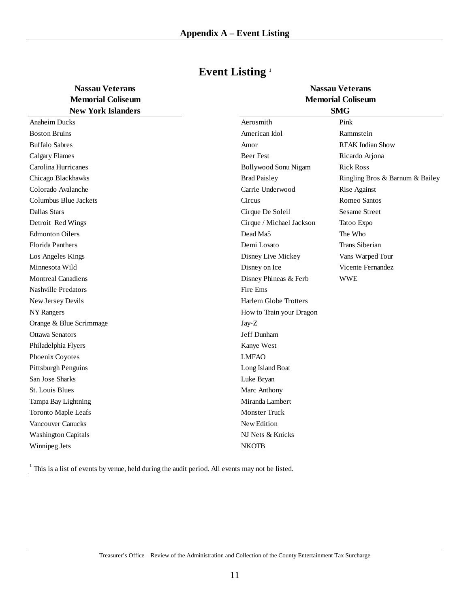| <b>Nassau Veterans</b>   |  |
|--------------------------|--|
| <b>Memorial Coliseum</b> |  |
| New York Islanders       |  |

|  | <b>Event Listing</b> <sup>1</sup> |  |
|--|-----------------------------------|--|
|--|-----------------------------------|--|

| <b>IVEW TOTA ISIAHUCIS</b> |                              |
|----------------------------|------------------------------|
| <b>Anaheim Ducks</b>       | Aerosmith                    |
| <b>Boston Bruins</b>       | American Idol                |
| <b>Buffalo Sabres</b>      | Amor                         |
| <b>Calgary Flames</b>      | <b>Beer Fest</b>             |
| Carolina Hurricanes        | Bollywood Sonu Nigam         |
| Chicago Blackhawks         | <b>Brad Paisley</b>          |
| Colorado Avalanche         | Carrie Underwood             |
| Columbus Blue Jackets      | Circus                       |
| Dallas Stars               | Cirque De Soleil             |
| Detroit Red Wings          | Cirque / Michael Jackson     |
| <b>Edmonton Oilers</b>     | Dead Ma5                     |
| <b>Florida Panthers</b>    | Demi Lovato                  |
| Los Angeles Kings          | Disney Live Mickey           |
| Minnesota Wild             | Disney on Ice                |
| <b>Montreal Canadiens</b>  | Disney Phineas & Ferb        |
| <b>Nashville Predators</b> | Fire Ems                     |
| New Jersey Devils          | <b>Harlem Globe Trotters</b> |
| NY Rangers                 | How to Train your Dragon     |
| Orange & Blue Scrimmage    | Jay-Z                        |
| <b>Ottawa Senators</b>     | Jeff Dunham                  |
| Philadelphia Flyers        | Kanye West                   |
| Phoenix Coyotes            | <b>LMFAO</b>                 |
| <b>Pittsburgh Penguins</b> | Long Island Boat             |
| San Jose Sharks            | Luke Bryan                   |
| St. Louis Blues            | Marc Anthony                 |
| Tampa Bay Lightning        | Miranda Lambert              |
| Toronto Maple Leafs        | <b>Monster Truck</b>         |
| <b>Vancouver Canucks</b>   | New Edition                  |
| <b>Washington Capitals</b> | NJ Nets & Knicks             |
| Winnipeg Jets              | <b>NKOTB</b>                 |

| <b>Memorial Coliseum</b>   | <b>Memorial Coliseum</b> |                                 |  |
|----------------------------|--------------------------|---------------------------------|--|
| <b>New York Islanders</b>  | <b>SMG</b>               |                                 |  |
| Anaheim Ducks              | Aerosmith                | Pink                            |  |
| Boston Bruins              | American Idol            | Rammstein                       |  |
| <b>Buffalo Sabres</b>      | Amor                     | <b>RFAK</b> Indian Show         |  |
| Calgary Flames             | Beer Fest                | Ricardo Arjona                  |  |
| Carolina Hurricanes        | Bollywood Sonu Nigam     | <b>Rick Ross</b>                |  |
| Chicago Blackhawks         | <b>Brad Paisley</b>      | Ringling Bros & Barnum & Bailey |  |
| Colorado Avalanche         | Carrie Underwood         | Rise Against                    |  |
| Columbus Blue Jackets      | Circus                   | Romeo Santos                    |  |
| Dallas Stars               | Cirque De Soleil         | <b>Sesame Street</b>            |  |
| Detroit Red Wings          | Cirque / Michael Jackson | Tatoo Expo                      |  |
| <b>Edmonton Oilers</b>     | Dead Ma5                 | The Who                         |  |
| <b>Florida Panthers</b>    | Demi Lovato              | Trans Siberian                  |  |
| Los Angeles Kings          | Disney Live Mickey       | Vans Warped Tour                |  |
| Minnesota Wild             | Disney on Ice            | Vicente Fernandez               |  |
| <b>Montreal Canadiens</b>  | Disney Phineas & Ferb    | <b>WWE</b>                      |  |
| Nashville Predators        | Fire Ems                 |                                 |  |
| New Jersey Devils          | Harlem Globe Trotters    |                                 |  |
| NY Rangers                 | How to Train your Dragon |                                 |  |
| Orange & Blue Scrimmage    | $Jay-Z$                  |                                 |  |
| Ottawa Senators            | Jeff Dunham              |                                 |  |
| Philadelphia Flyers        | Kanye West               |                                 |  |
| Phoenix Coyotes            | <b>LMFAO</b>             |                                 |  |
| Pittsburgh Penguins        | Long Island Boat         |                                 |  |
| San Jose Sharks            | Luke Bryan               |                                 |  |
| St. Louis Blues            | Marc Anthony             |                                 |  |
| Tampa Bay Lightning        | Miranda Lambert          |                                 |  |
| <b>Toronto Maple Leafs</b> | <b>Monster Truck</b>     |                                 |  |
| Vancouver Canucks          | New Edition              |                                 |  |
| <b>Washington Capitals</b> | NJ Nets & Knicks         |                                 |  |
| Winnipeg Jets              | <b>NKOTB</b>             |                                 |  |
|                            |                          |                                 |  |

**Nassau Veterans** 

 $1$  This is a list of events by venue, held during the audit period. All events may not be listed.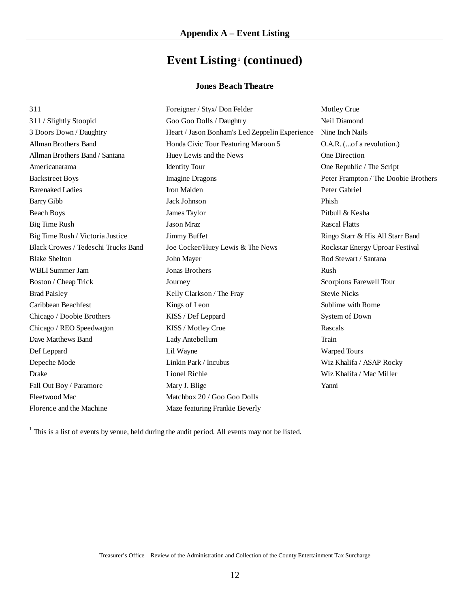# Event Listing<sup>1</sup> (continued)

## **Jones Beach Theatre**

| 311                                        | Foreigner / Styx/ Don Felder                   | Motley Crue                          |
|--------------------------------------------|------------------------------------------------|--------------------------------------|
| 311 / Slightly Stoopid                     | Goo Goo Dolls / Daughtry                       | Neil Diamond                         |
| 3 Doors Down / Daughtry                    | Heart / Jason Bonham's Led Zeppelin Experience | Nine Inch Nails                      |
| Allman Brothers Band                       | Honda Civic Tour Featuring Maroon 5            | O.A.R. (of a revolution.)            |
| Allman Brothers Band / Santana             | Huey Lewis and the News                        | One Direction                        |
| Americanarama                              | <b>Identity Tour</b>                           | One Republic / The Script            |
| <b>Backstreet Boys</b>                     | <b>Imagine Dragons</b>                         | Peter Frampton / The Doobie Brothers |
| <b>Barenaked Ladies</b>                    | Iron Maiden                                    | Peter Gabriel                        |
| <b>Barry Gibb</b>                          | Jack Johnson                                   | Phish                                |
| <b>Beach Boys</b>                          | James Taylor                                   | Pitbull & Kesha                      |
| <b>Big Time Rush</b>                       | <b>Jason Mraz</b>                              | <b>Rascal Flatts</b>                 |
| Big Time Rush / Victoria Justice           | Jimmy Buffet                                   | Ringo Starr & His All Starr Band     |
| <b>Black Crowes / Tedeschi Trucks Band</b> | Joe Cocker/Huey Lewis & The News               | Rockstar Energy Uproar Festival      |
| <b>Blake Shelton</b>                       | John Mayer                                     | Rod Stewart / Santana                |
| WBLI Summer Jam                            | <b>Jonas Brothers</b>                          | Rush                                 |
| Boston / Cheap Trick                       | Journey                                        | Scorpions Farewell Tour              |
| <b>Brad Paisley</b>                        | Kelly Clarkson / The Fray                      | <b>Stevie Nicks</b>                  |
| Caribbean Beachfest                        | Kings of Leon                                  | Sublime with Rome                    |
| Chicago / Doobie Brothers                  | KISS / Def Leppard                             | System of Down                       |
| Chicago / REO Speedwagon                   | KISS / Motley Crue                             | Rascals                              |
| Dave Matthews Band                         | Lady Antebellum                                | Train                                |
| Def Leppard                                | Lil Wayne                                      | Warped Tours                         |
| Depeche Mode                               | Linkin Park / Incubus                          | Wiz Khalifa / ASAP Rocky             |
| Drake                                      | Lionel Richie                                  | Wiz Khalifa / Mac Miller             |
| Fall Out Boy / Paramore                    | Mary J. Blige                                  | Yanni                                |
| Fleetwood Mac                              | Matchbox 20 / Goo Goo Dolls                    |                                      |
| Florence and the Machine                   | Maze featuring Frankie Beverly                 |                                      |

 $1$  This is a list of events by venue, held during the audit period. All events may not be listed.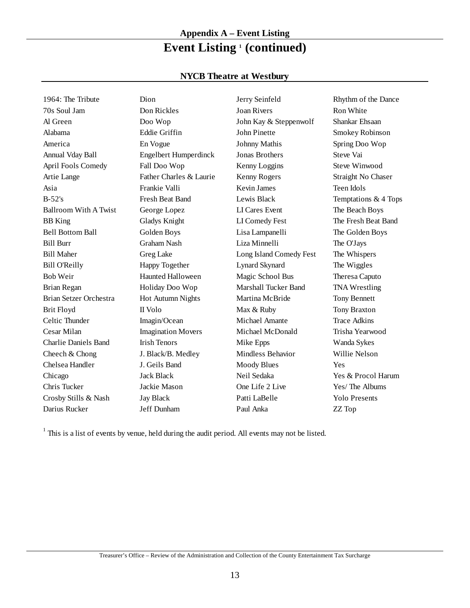# **Appendix A – Event Listing** Event Listing<sup>1</sup> (continued)

## **NYCB Theatre at Westbury**

| 1964: The Tribute           | Dion                         | Jerry Seinfeld              | Rhythm of the Dance  |
|-----------------------------|------------------------------|-----------------------------|----------------------|
| 70s Soul Jam                | Don Rickles                  | <b>Joan Rivers</b>          | Ron White            |
| Al Green                    | Doo Wop                      | John Kay & Steppenwolf      | Shankar Ehsaan       |
| Alabama                     | Eddie Griffin                | John Pinette                | Smokey Robinson      |
| America                     | En Vogue                     | <b>Johnny Mathis</b>        | Spring Doo Wop       |
| Annual Vday Ball            | <b>Engelbert Humperdinck</b> | <b>Jonas Brothers</b>       | Steve Vai            |
| April Fools Comedy          | Fall Doo Wop                 | Kenny Loggins               | Steve Winwood        |
| Artie Lange                 | Father Charles & Laurie      | Kenny Rogers                | Straight No Chaser   |
| Asia                        | Frankie Valli                | Kevin James                 | Teen Idols           |
| $B-52's$                    | Fresh Beat Band              | Lewis Black                 | Temptations & 4 Tops |
| Ballroom With A Twist       | George Lopez                 | LI Cares Event              | The Beach Boys       |
| <b>BB</b> King              | Gladys Knight                | LI Comedy Fest              | The Fresh Beat Band  |
| <b>Bell Bottom Ball</b>     | Golden Boys                  | Lisa Lampanelli             | The Golden Boys      |
| <b>Bill Burr</b>            | Graham Nash                  | Liza Minnelli               | The O'Jays           |
| <b>Bill Maher</b>           | Greg Lake                    | Long Island Comedy Fest     | The Whispers         |
| <b>Bill O'Reilly</b>        | Happy Together               | <b>Lynard Skynard</b>       | The Wiggles          |
| <b>Bob Weir</b>             | <b>Haunted Halloween</b>     | Magic School Bus            | Theresa Caputo       |
| Brian Regan                 | Holiday Doo Wop              | <b>Marshall Tucker Band</b> | <b>TNA</b> Wrestling |
| Brian Setzer Orchestra      | Hot Autumn Nights            | Martina McBride             | <b>Tony Bennett</b>  |
| <b>Brit Floyd</b>           | II Volo                      | Max & Ruby                  | <b>Tony Braxton</b>  |
| Celtic Thunder              | Imagin/Ocean                 | Michael Amante              | <b>Trace Adkins</b>  |
| Cesar Milan                 | <b>Imagination Movers</b>    | Michael McDonald            | Trisha Yearwood      |
| <b>Charlie Daniels Band</b> | <b>Irish Tenors</b>          | Mike Epps                   | Wanda Sykes          |
| Cheech & Chong              | J. Black/B. Medley           | <b>Mindless Behavior</b>    | Willie Nelson        |
| Chelsea Handler             | J. Geils Band                | <b>Moody Blues</b>          | Yes                  |
| Chicago                     | <b>Jack Black</b>            | Neil Sedaka                 | Yes & Procol Harum   |
| Chris Tucker                | Jackie Mason                 | One Life 2 Live             | Yes/The Albums       |
| Crosby Stills & Nash        | <b>Jay Black</b>             | Patti LaBelle               | <b>Yolo Presents</b> |
| Darius Rucker               | Jeff Dunham                  | Paul Anka                   | ZZ Top               |

 $<sup>1</sup>$  This is a list of events by venue, held during the audit period. All events may not be listed.</sup>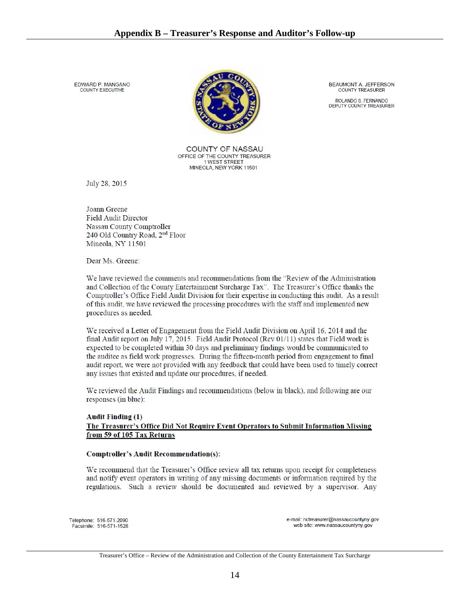EDWARD P MANGANO COUNTY EXECUTIVE



COUNTY OF NASSAU OFFICE OF THE COUNTY TREASURER 1 WEST STREET MINEOLA, NEW YORK 11501

BEAUMONT A. JEFFERSON **COUNTY TREASURER** 

ROLANDO S. FERNANDO<br>DEPUTY COUNTY TREASURER

July 28, 2015

Joann Greene **Field Audit Director** Nassau County Comptroller 240 Old Country Road, 2<sup>nd</sup> Floor Mineola, NY 11501

Dear Ms. Greene:

We have reviewed the comments and recommendations from the "Review of the Administration and Collection of the County Entertainment Surcharge Tax". The Treasurer's Office thanks the Comptroller's Office Field Audit Division for their expertise in conducting this audit. As a result of this audit, we have reviewed the processing procedures with the staff and implemented new procedures as needed.

We received a Letter of Engagement from the Field Audit Division on April 16, 2014 and the final Audit report on July 17, 2015. Field Audit Protocol (Rev 01/11) states that Field work is expected to be completed within 30 days and preliminary findings would be communicated to the auditee as field work progresses. During the fifteen-month period from engagement to final audit report, we were not provided with any feedback that could have been used to timely correct any issues that existed and update our procedures, if needed.

We reviewed the Audit Findings and recommendations (below in black), and following are our responses (in blue):

### **Audit Finding (1)** The Treasurer's Office Did Not Require Event Operators to Submit Information Missing from 59 of 105 Tax Returns

### **Comptroller's Audit Recommendation(s):**

We recommend that the Treasurer's Office review all tax returns upon receipt for completeness and notify event operators in writing of any missing documents or information required by the regulations. Such a review should be documented and reviewed by a supervisor. Any

Telephone: 516-571-2090 Facsimile: 516-571-1528 e-mail: nctreasurer@nassaucountyny.gov web site: www.nassaucountyny.gov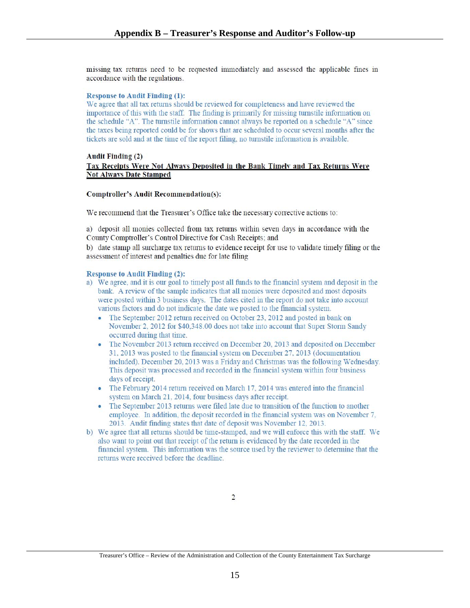missing tax returns need to be requested immediately and assessed the applicable fines in accordance with the regulations.

### **Response to Audit Finding (1):**

We agree that all tax returns should be reviewed for completeness and have reviewed the importance of this with the staff. The finding is primarily for missing turnstile information on the schedule "A". The turnstile information cannot always be reported on a schedule "A" since the taxes being reported could be for shows that are scheduled to occur several months after the tickets are sold and at the time of the report filing, no turnstile information is available.

#### **Audit Finding (2)** Tax Receipts Were Not Always Deposited in the Bank Timely and Tax Returns Were **Not Always Date Stamped**

### **Comptroller's Audit Recommendation(s):**

We recommend that the Treasurer's Office take the necessary corrective actions to:

a) deposit all monies collected from tax returns within seven days in accordance with the County Comptroller's Control Directive for Cash Receipts; and

b) date stamp all surcharge tax returns to evidence receipt for use to validate timely filing or the assessment of interest and penalties due for late filing

#### **Response to Audit Finding (2):**

- a) We agree, and it is our goal to timely post all funds to the financial system and deposit in the bank. A review of the sample indicates that all monies were deposited and most deposits were posted within 3 business days. The dates cited in the report do not take into account various factors and do not indicate the date we posted to the financial system.
	- The September 2012 return received on October 23, 2012 and posted in bank on November 2, 2012 for \$40,348.00 does not take into account that Super Storm Sandy occurred during that time.
	- The November 2013 return received on December 20, 2013 and deposited on December 31, 2013 was posted to the financial system on December 27, 2013 (documentation included). December 20, 2013 was a Friday and Christmas was the following Wednesday. This deposit was processed and recorded in the financial system within four business days of receipt.
	- The February 2014 return received on March 17, 2014 was entered into the financial system on March 21, 2014, four business days after receipt.
	- The September 2013 returns were filed late due to transition of the function to another employee. In addition, the deposit recorded in the financial system was on November 7, 2013. Audit finding states that date of deposit was November 12, 2013.
- b) We agree that all returns should be time-stamped, and we will enforce this with the staff. We also want to point out that receipt of the return is evidenced by the date recorded in the financial system. This information was the source used by the reviewer to determine that the returns were received before the deadline.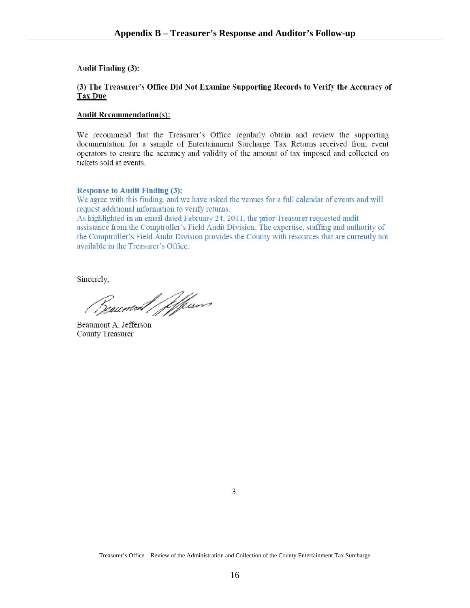**Audit Finding (3):** 

### (3) The Treasurer's Office Did Not Examine Supporting Records to Verify the Accuracy of **Tax Due**

### **Audit Recommendation(s):**

We recommend that the Treasurer's Office regularly obtain and review the supporting documentation for a sample of Entertainment Surcharge Tax Returns received from event operators to ensure the accuracy and validity of the amount of tax imposed and collected on tickets sold at events

### **Response to Audit Finding (3):**

We agree with this finding, and we have asked the venues for a full calendar of events and will request additional information to verify returns.

As highlighted in an email dated February 24, 2011, the prior Treasurer requested audit assistance from the Comptroller's Field Audit Division. The expertise, staffing and authority of the Comptroller's Field Audit Division provides the County with resources that are currently not available in the Treasurer's Office.

Sincerely,

Reaumont / ffessor

Beaumont A. Jefferson **County Treasurer**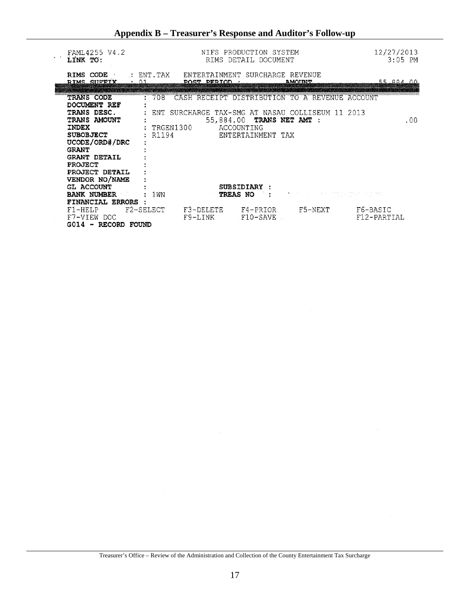| FAML4255 V4.2<br>LINK TO:                                                                                                                                  |                                |                                                           | NIFS PRODUCTION SYSTEM<br>RIMS DETAIL DOCUMENT               |                                                                                                      | 12/27/2013<br>$3:05$ PM |
|------------------------------------------------------------------------------------------------------------------------------------------------------------|--------------------------------|-----------------------------------------------------------|--------------------------------------------------------------|------------------------------------------------------------------------------------------------------|-------------------------|
| RIMS CODE<br>RIMS SIFFIY 01                                                                                                                                |                                | : ENT.TAX ENTERTAINMENT SURCHARGE REVENUE<br>POST PERIOD. |                                                              | <b>AMOINT</b>                                                                                        | 55 884 00               |
| <b>TRANS CODE</b><br>DOCUMENT REF<br>TRANS DESC.<br>TRANS AMOUNT<br><b>INDEX</b><br><b>SUBOBJECT</b><br>UCODE/ORD#/DRC                                     | :708<br>: TRGEN1300<br>: R1194 |                                                           | 55,884.00 TRANS NET AMT :<br>ACCOUNTING<br>ENTERTAINMENT TAX | CASH RECEIPT DISTRIBUTION TO A REVENUE ACCOUNT<br>: ENT SURCHARGE TAX-SMG AT NASAU COLLISEUM 11 2013 | .00.                    |
| <b>GRANT</b><br><b>GRANT DETAIL</b><br><b>PROJECT</b><br>PROJECT DETAIL<br>VENDOR NO/NAME<br><b>GL ACCOUNT</b><br><b>BANK NUMBER</b><br>FINANCIAL ERRORS : | : 1WN                          |                                                           | <b>SUBSIDIARY</b><br><b>TREAS NO</b>                         | <b>TO BE TAKEN WARDERS</b>                                                                           |                         |
| F1-HELP<br>F7-VIEW DOC<br>G014 - RECORD FOUND                                                                                                              | F2-SELECT                      | F3-DELETE<br>F9-LINK                                      | F4-PRIOR<br>F10-SAVE                                         | F5-NEXT                                                                                              | F6-BASIC<br>F12-PARTIAL |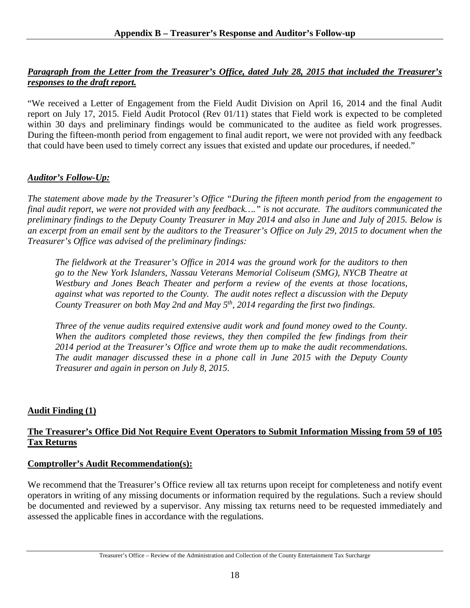## *Paragraph from the Letter from the Treasurer's Office, dated July 28, 2015 that included the Treasurer's responses to the draft report.*

"We received a Letter of Engagement from the Field Audit Division on April 16, 2014 and the final Audit report on July 17, 2015. Field Audit Protocol (Rev 01/11) states that Field work is expected to be completed within 30 days and preliminary findings would be communicated to the auditee as field work progresses. During the fifteen-month period from engagement to final audit report, we were not provided with any feedback that could have been used to timely correct any issues that existed and update our procedures, if needed."

## *Auditor's Follow-Up:*

*The statement above made by the Treasurer's Office "During the fifteen month period from the engagement to final audit report, we were not provided with any feedback…." is not accurate. The auditors communicated the preliminary findings to the Deputy County Treasurer in May 2014 and also in June and July of 2015. Below is an excerpt from an email sent by the auditors to the Treasurer's Office on July 29, 2015 to document when the Treasurer's Office was advised of the preliminary findings:* 

*The fieldwork at the Treasurer's Office in 2014 was the ground work for the auditors to then go to the New York Islanders, Nassau Veterans Memorial Coliseum (SMG), NYCB Theatre at Westbury and Jones Beach Theater and perform a review of the events at those locations, against what was reported to the County. The audit notes reflect a discussion with the Deputy County Treasurer on both May 2nd and May 5th, 2014 regarding the first two findings.* 

*Three of the venue audits required extensive audit work and found money owed to the County. When the auditors completed those reviews, they then compiled the few findings from their 2014 period at the Treasurer's Office and wrote them up to make the audit recommendations. The audit manager discussed these in a phone call in June 2015 with the Deputy County Treasurer and again in person on July 8, 2015.* 

## **Audit Finding (1)**

## **The Treasurer's Office Did Not Require Event Operators to Submit Information Missing from 59 of 105 Tax Returns**

## **Comptroller's Audit Recommendation(s):**

We recommend that the Treasurer's Office review all tax returns upon receipt for completeness and notify event operators in writing of any missing documents or information required by the regulations. Such a review should be documented and reviewed by a supervisor. Any missing tax returns need to be requested immediately and assessed the applicable fines in accordance with the regulations.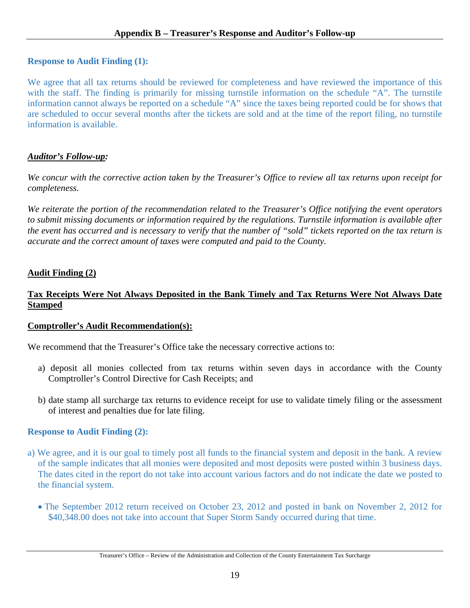## **Response to Audit Finding (1):**

We agree that all tax returns should be reviewed for completeness and have reviewed the importance of this with the staff. The finding is primarily for missing turnstile information on the schedule "A". The turnstile information cannot always be reported on a schedule "A" since the taxes being reported could be for shows that are scheduled to occur several months after the tickets are sold and at the time of the report filing, no turnstile information is available.

## *Auditor's Follow-up:*

*We concur with the corrective action taken by the Treasurer's Office to review all tax returns upon receipt for completeness.* 

*We reiterate the portion of the recommendation related to the Treasurer's Office notifying the event operators to submit missing documents or information required by the regulations. Turnstile information is available after the event has occurred and is necessary to verify that the number of "sold" tickets reported on the tax return is accurate and the correct amount of taxes were computed and paid to the County.* 

## **Audit Finding (2)**

## **Tax Receipts Were Not Always Deposited in the Bank Timely and Tax Returns Were Not Always Date Stamped**

## **Comptroller's Audit Recommendation(s):**

We recommend that the Treasurer's Office take the necessary corrective actions to:

- a) deposit all monies collected from tax returns within seven days in accordance with the County Comptroller's Control Directive for Cash Receipts; and
- b) date stamp all surcharge tax returns to evidence receipt for use to validate timely filing or the assessment of interest and penalties due for late filing.

## **Response to Audit Finding (2):**

- a) We agree, and it is our goal to timely post all funds to the financial system and deposit in the bank. A review of the sample indicates that all monies were deposited and most deposits were posted within 3 business days. The dates cited in the report do not take into account various factors and do not indicate the date we posted to the financial system.
	- The September 2012 return received on October 23, 2012 and posted in bank on November 2, 2012 for \$40,348.00 does not take into account that Super Storm Sandy occurred during that time.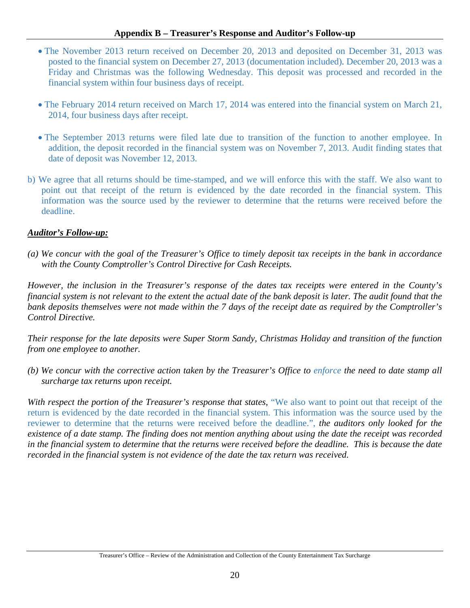## **Appendix B – Treasurer's Response and Auditor's Follow-up**

- The November 2013 return received on December 20, 2013 and deposited on December 31, 2013 was posted to the financial system on December 27, 2013 (documentation included). December 20, 2013 was a Friday and Christmas was the following Wednesday. This deposit was processed and recorded in the financial system within four business days of receipt.
- The February 2014 return received on March 17, 2014 was entered into the financial system on March 21, 2014, four business days after receipt.
- The September 2013 returns were filed late due to transition of the function to another employee. In addition, the deposit recorded in the financial system was on November 7, 2013. Audit finding states that date of deposit was November 12, 2013.
- b) We agree that all returns should be time-stamped, and we will enforce this with the staff. We also want to point out that receipt of the return is evidenced by the date recorded in the financial system. This information was the source used by the reviewer to determine that the returns were received before the deadline.

## *Auditor's Follow-up:*

*(a) We concur with the goal of the Treasurer's Office to timely deposit tax receipts in the bank in accordance with the County Comptroller's Control Directive for Cash Receipts.* 

*However, the inclusion in the Treasurer's response of the dates tax receipts were entered in the County's financial system is not relevant to the extent the actual date of the bank deposit is later. The audit found that the bank deposits themselves were not made within the 7 days of the receipt date as required by the Comptroller's Control Directive.* 

*Their response for the late deposits were Super Storm Sandy, Christmas Holiday and transition of the function from one employee to another.* 

*(b) We concur with the corrective action taken by the Treasurer's Office to enforce the need to date stamp all surcharge tax returns upon receipt.* 

*With respect the portion of the Treasurer's response that states,* "We also want to point out that receipt of the return is evidenced by the date recorded in the financial system. This information was the source used by the reviewer to determine that the returns were received before the deadline.", *the auditors only looked for the existence of a date stamp. The finding does not mention anything about using the date the receipt was recorded in the financial system to determine that the returns were received before the deadline. This is because the date recorded in the financial system is not evidence of the date the tax return was received.*